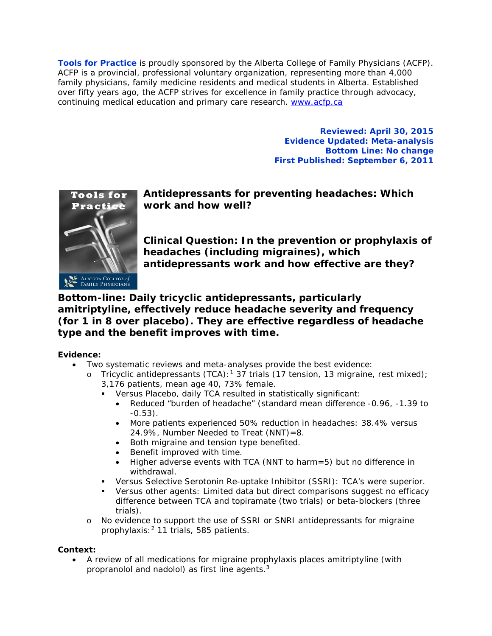**Tools for Practice** is proudly sponsored by the Alberta College of Family Physicians (ACFP). ACFP is a provincial, professional voluntary organization, representing more than 4,000 family physicians, family medicine residents and medical students in Alberta. Established over fifty years ago, the ACFP strives for excellence in family practice through advocacy, continuing medical education and primary care research. [www.acfp.ca](http://r20.rs6.net/tn.jsp?llr=j5jhyecab&et=1106581339886&s=0&e=0018HsPjNJAVitI8Ray9i14VUEPh8QgRLpopT1hs0e5ZuwGPqGnH9-N6tL_UP5LTij9cP43lHBva_IRi6MMeFppG6SamR3ro1dGo2mwyQcV95k=)

> **Reviewed: April 30, 2015 Evidence Updated: Meta-analysis Bottom Line: No change First Published: September 6, 2011**



**Antidepressants for preventing headaches: Which work and how well?**

**Clinical Question: In the prevention or prophylaxis of headaches (including migraines), which antidepressants work and how effective are they?**

# **Bottom-line: Daily tricyclic antidepressants, particularly amitriptyline, effectively reduce headache severity and frequency (for 1 in 8 over placebo). They are effective regardless of headache type and the benefit improves with time.**

## **Evidence:**

- Two systematic reviews and meta-analyses provide the best evidence:
	- o Tricyclic antidepressants (TCA):<sup>1</sup> 37 trials (17 tension, 13 migraine, rest mixed); 3,176 patients, mean age 40, 73% female.
		- Versus Placebo, daily TCA resulted in statistically significant:
			- Reduced "burden of headache" (standard mean difference -0.96, -1.39 to  $-0.53$ ).
			- More patients experienced 50% reduction in headaches: 38.4% versus 24.9%, Number Needed to Treat (NNT)=8.
			- Both migraine and tension type benefited.
			- Benefit improved with time.
			- Higher adverse events with TCA (NNT to harm=5) but no difference in withdrawal.
		- Versus Selective Serotonin Re-uptake Inhibitor (SSRI): TCA's were superior.
		- Versus other agents: Limited data but direct comparisons suggest no efficacy difference between TCA and topiramate (two trials) or beta-blockers (three trials).
	- o No evidence to support the use of SSRI or SNRI antidepressants for migraine prophylaxis:2 11 trials, 585 patients.

## **Context:**

• A review of all medications for migraine prophylaxis places amitriptyline (with propranolol and nadolol) as first line agents.3